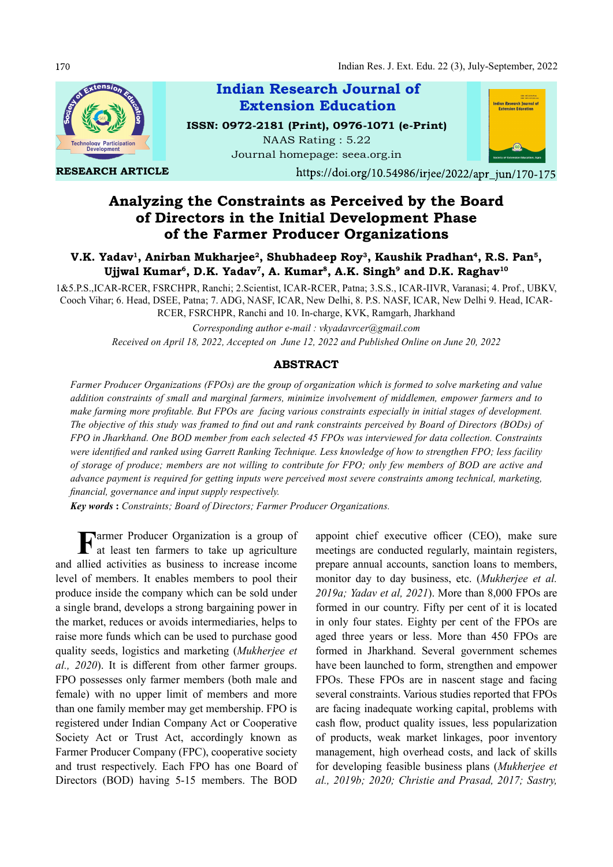

Analyzing the Constraints as Perceived by the Board of Directors in the Initial Development Phase of the Farmer Producer Organizations

# V.K. Yadav<sup>ı</sup>, Anirban Mukharjee<sup>2</sup>, Shubhadeep Roy<sup>3</sup>, Kaushik Pradhan<sup>4</sup>, R.S. Pan<sup>5</sup>, <sup>r</sup>adav<sup>1</sup>, Anirban Mukharjee<sup>2</sup>, Shubhadeep Roy<sup>3</sup>, Kaushik Pradhan<sup>4</sup>, R.S. Pan<sup>5</sup>,<br>Ujjwal Kumar<sup>6</sup>, D.K. Yadav<sup>7</sup>, A. Kumar<sup>8</sup>, A.K. Singh<sup>9</sup> and D.K. Raghav<sup>10</sup>

1&5.P.S.,ICAR-RCER, FSRCHPR, Ranchi; 2.Scientist, ICAR-RCER, Patna; 3.S.S., ICAR-IIVR, Varanasi; 4. Prof., UBKV, Cooch Vihar; 6. Head, DSEE, Patna; 7. ADG, NASF, ICAR, New Delhi, 8. P.S. NASF, ICAR, New Delhi 9. Head, ICAR-RCER, FSRCHPR, Ranchi and 10. In-charge, KVK, Ramgarh, Jharkhand

> Corresponding author e-mail : vkyadavrcer@gmail.com Received on April 18, 2022, Accepted on June 12, 2022 and Published Online on June 20, 2022

### ABSTRACT

Farmer Producer Organizations (FPOs) are the group of organization which is formed to solve marketing and value addition constraints of small and marginal farmers, minimize involvement of middlemen, empower farmers and to make farming more profitable. But FPOs are facing various constraints especially in initial stages of development. The objective of this study was framed to find out and rank constraints perceived by Board of Directors (BODs) of FPO in Jharkhand. One BOD member from each selected 45 FPOs was interviewed for data collection. Constraints were identified and ranked using Garrett Ranking Technique. Less knowledge of how to strengthen FPO; less facility of storage of produce; members are not willing to contribute for FPO; only few members of BOD are active and advance payment is required for getting inputs were perceived most severe constraints among technical, marketing, financial, governance and input supply respectively.

Key words : Constraints; Board of Directors; Farmer Producer Organizations.

Farmer Producer Organization is a group of appoint chief<br>at least ten farmers to take up agriculture meetings are c at least ten farmers to take up agriculture and allied activities as business to increase income level of members. It enables members to pool their produce inside the company which can be sold under a single brand, develops a strong bargaining power in the market, reduces or avoids intermediaries, helps to raise more funds which can be used to purchase good quality seeds, logistics and marketing (Mukherjee et  $al., 2020$ ). It is different from other farmer groups. FPO possesses only farmer members (both male and female) with no upper limit of members and more than one family member may get membership. FPO is registered under Indian Company Act or Cooperative Society Act or Trust Act, accordingly known as Farmer Producer Company (FPC), cooperative society and trust respectively. Each FPO has one Board of Directors (BOD) having 5-15 members. The BOD

appoint chief executive officer (CEO), make sure meetings are conducted regularly, maintain registers, prepare annual accounts, sanction loans to members, monitor day to day business, etc. (Mukherjee et al.  $2019a$ ; Yadav et al,  $2021$ ). More than 8,000 FPOs are formed in our country. Fifty per cent of it is located in only four states. Eighty per cent of the FPOs are aged three years or less. More than 450 FPOs are formed in Jharkhand. Several government schemes have been launched to form, strengthen and empower FPOs. These FPOs are in nascent stage and facing several constraints. Various studies reported that FPOs are facing inadequate working capital, problems with cash flow, product quality issues, less popularization of products, weak market linkages, poor inventory management, high overhead costs, and lack of skills for developing feasible business plans (Mukherjee et al., 2019b; 2020; Christie and Prasad, 2017; Sastry,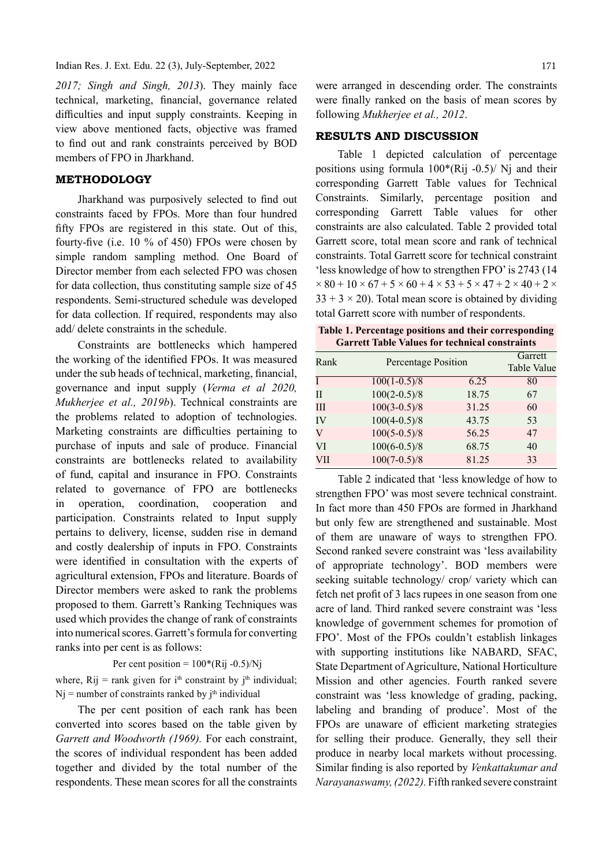#### Indian Res. J. Ext. Edu. 22 (3), July-September, 2022

2017; Singh and Singh, 2013). They mainly face technical, marketing, financial, governance related difficulties and input supply constraints. Keeping in view above mentioned facts, objective was framed to find out and rank constraints perceived by BOD members of FPO in Jharkhand.

## METHODOLOGY

Jharkhand was purposively selected to find out constraints faced by FPOs. More than four hundred fifty FPOs are registered in this state. Out of this, fourty-five (i.e.  $10\%$  of 450) FPOs were chosen by simple random sampling method. One Board of Director member from each selected FPO was chosen for data collection, thus constituting sample size of 45 respondents. Semi-structured schedule was developed for data collection. If required, respondents may also add/ delete constraints in the schedule.

Constraints are bottlenecks which hampered the working of the identified FPOs. It was measured under the sub heads of technical, marketing, financial, governance and input supply (Verma et al 2020, Mukherjee et al., 2019b). Technical constraints are the problems related to adoption of technologies. Marketing constraints are difficulties pertaining to purchase of inputs and sale of produce. Financial constraints are bottlenecks related to availability of fund, capital and insurance in FPO. Constraints related to governance of FPO are bottlenecks in operation, coordination, cooperation and participation. Constraints related to Input supply pertains to delivery, license, sudden rise in demand and costly dealership of inputs in FPO. Constraints were identified in consultation with the experts of agricultural extension, FPOs and literature. Boards of Director members were asked to rank the problems proposed to them. Garrett's Ranking Techniques was used which provides the change of rank of constraints into numerical scores. Garrett's formula for converting ranks into per cent is as follows:

Per cent position =  $100*(Rij - 0.5)/Nj$ 

where, Rij = rank given for i<sup>th</sup> constraint by j<sup>th</sup> individual;  $Nj$  = number of constraints ranked by  $j<sup>th</sup>$  individual

The per cent position of each rank has been converted into scores based on the table given by Garrett and Woodworth (1969). For each constraint, the scores of individual respondent has been added together and divided by the total number of the respondents. These mean scores for all the constraints

were arranged in descending order. The constraints were finally ranked on the basis of mean scores by following Mukherjee et al., 2012.

### RESULTS AND DISCUSSION

Table 1 depicted calculation of percentage positions using formula  $100*(Rij -0.5)/$  Nj and their corresponding Garrett Table values for Technical Constraints. Similarly, percentage position and corresponding Garrett Table values for other constraints are also calculated. Table 2 provided total Garrett score, total mean score and rank of technical constraints. Total Garrett score for technical constraint 'less knowledge of how to strengthen FPO' is 2743 (14  $\times 80 + 10 \times 67 + 5 \times 60 + 4 \times 53 + 5 \times 47 + 2 \times 40 + 2 \times$  $33 + 3 \times 20$ ). Total mean score is obtained by dividing total Garrett score with number of respondents.

Table 1. Percentage positions and their corresponding Garrett Table Values for technical constraints

| Rank |                | <b>Percentage Position</b> |    |  |  |  |  |  |
|------|----------------|----------------------------|----|--|--|--|--|--|
|      | $100(1-0.5)/8$ | 6.25                       | 80 |  |  |  |  |  |
| Н    | $100(2-0.5)/8$ | 18.75                      | 67 |  |  |  |  |  |
| Ш    | $100(3-0.5)/8$ | 31.25                      | 60 |  |  |  |  |  |
| IV   | $100(4-0.5)/8$ | 43.75                      | 53 |  |  |  |  |  |
| V    | $100(5-0.5)/8$ | 56.25                      | 47 |  |  |  |  |  |
| VI   | $100(6-0.5)/8$ | 68.75                      | 40 |  |  |  |  |  |
| VII  | $100(7-0.5)/8$ | 81.25                      | 33 |  |  |  |  |  |

Table 2 indicated that 'less knowledge of how to strengthen FPO' was most severe technical constraint. In fact more than 450 FPOs are formed in Jharkhand but only few are strengthened and sustainable. Most of them are unaware of ways to strengthen FPO. Second ranked severe constraint was 'less availability of appropriate technology'. BOD members were seeking suitable technology/ crop/ variety which can fetch net profit of 3 lacs rupees in one season from one acre of land. Third ranked severe constraint was 'less knowledge of government schemes for promotion of FPO'. Most of the FPOs couldn't establish linkages with supporting institutions like NABARD, SFAC, State Department of Agriculture, National Horticulture Mission and other agencies. Fourth ranked severe constraint was 'less knowledge of grading, packing, labeling and branding of produce'. Most of the FPOs are unaware of efficient marketing strategies for selling their produce. Generally, they sell their produce in nearby local markets without processing. Similar finding is also reported by Venkattakumar and Narayanaswamy, (2022). Fifth ranked severe constraint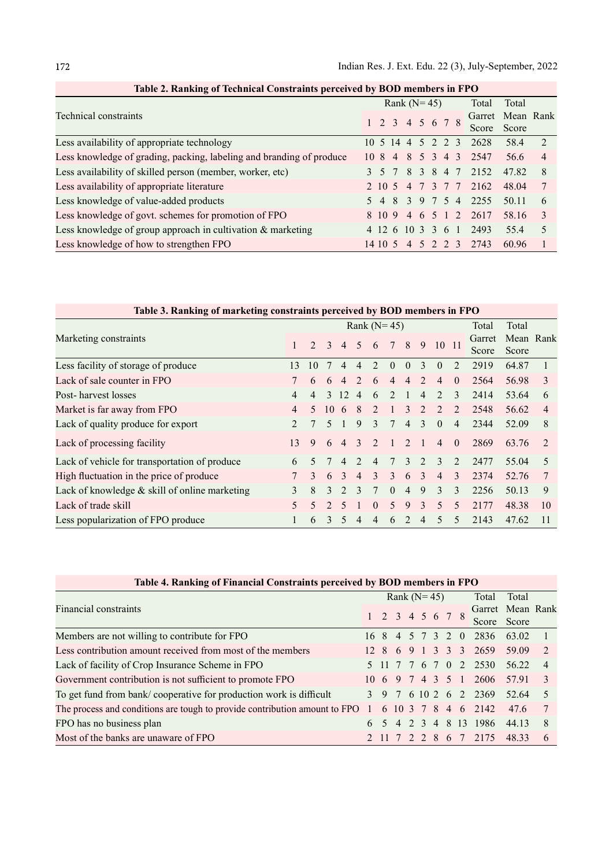| Technical constraints                                                |                   |  | Rank $(N=45)$     |  | Total | Total                 |       |                |
|----------------------------------------------------------------------|-------------------|--|-------------------|--|-------|-----------------------|-------|----------------|
|                                                                      |                   |  | 1 2 3 4 5 6 7 8   |  |       | Garret Mean Rank      |       |                |
|                                                                      |                   |  |                   |  |       | Score                 | Score |                |
| Less availability of appropriate technology                          | 10 5 14 4 5 2 2 3 |  |                   |  |       | 2628                  | 58.4  | $\sqrt{2}$     |
| Less knowledge of grading, packing, labeling and branding of produce |                   |  |                   |  |       | 10 8 4 8 5 3 4 3 2547 | 56.6  | $\overline{4}$ |
| Less availability of skilled person (member, worker, etc)            |                   |  | 3 5 7 8 3 8 4 7   |  |       | 2152                  | 47.82 | -8             |
| Less availability of appropriate literature                          |                   |  |                   |  |       | 2 10 5 4 7 3 7 7 2162 | 48.04 |                |
| Less knowledge of value-added products                               |                   |  |                   |  |       | 5 4 8 3 9 7 5 4 2255  | 50.11 | 6              |
| Less knowledge of govt. schemes for promotion of FPO                 |                   |  |                   |  |       | 8 10 9 4 6 5 1 2 2617 | 58.16 | $\sim$ 3       |
| Less knowledge of group approach in cultivation & marketing          |                   |  | 4 12 6 10 3 3 6 1 |  |       | 2493                  | 55.4  | $\sim$         |
| Less knowledge of how to strengthen FPO                              | 14105             |  |                   |  |       | 4 5 2 2 3 2743        | 60.96 |                |

| Table 2. Ranking of Technical Constraints perceived by BOD members in FPO |  |  |  |
|---------------------------------------------------------------------------|--|--|--|
|                                                                           |  |  |  |

| Table 3. Ranking of marketing constraints perceived by BOD members in FPO |                          |               |                          |                             |                |                             |                          |                             |                |                          |                             |                 |                    |    |
|---------------------------------------------------------------------------|--------------------------|---------------|--------------------------|-----------------------------|----------------|-----------------------------|--------------------------|-----------------------------|----------------|--------------------------|-----------------------------|-----------------|--------------------|----|
|                                                                           | Rank $(N=45)$            |               |                          |                             |                |                             |                          |                             |                |                          |                             | Total           | Total              |    |
| Marketing constraints                                                     |                          | $\mathcal{L}$ | $\mathcal{R}$            | $4 \quad 5$                 |                | 6                           |                          | 8                           | 9              | 10 11                    |                             | Garret<br>Score | Mean Rank<br>Score |    |
| Less facility of storage of produce                                       | 13                       | 10            |                          |                             | 4              | $\mathcal{D}_{\mathcal{A}}$ | $\Omega$                 | $\Omega$                    | 3              | $\theta$                 | $\mathcal{D}_{\mathcal{L}}$ | 2919            | 64.87              |    |
| Lack of sale counter in FPO                                               |                          | 6             | 6                        | $\overline{4}$              | $\overline{2}$ | 6                           | $\overline{4}$           | $\overline{4}$              | $\mathfrak{D}$ | $\overline{4}$           | $\theta$                    | 2564            | 56.98              | 3  |
| Post-harvest losses                                                       | 4                        | 4             | $\mathcal{L}$            | 12                          | $\overline{4}$ | 6                           | $\mathfrak{D}$           | 1                           | $\overline{4}$ | $\mathfrak{D}$           | 3                           | 2414            | 53.64              | 6  |
| Market is far away from FPO                                               | 4                        | $\sim$        | 10                       | 6                           | 8              | $\mathfrak{D}$              | $\mathbf{1}$             | $\mathcal{E}$               | $\mathfrak{D}$ | $\mathfrak{D}$           | $\mathfrak{D}$              | 2548            | 56.62              | 4  |
| Lack of quality produce for export                                        |                          |               | $\overline{\mathcal{L}}$ |                             | 9              | $\mathcal{E}$               | $\tau$                   | $\overline{4}$              | $\mathcal{E}$  | $\theta$                 | $\overline{4}$              | 2344            | 52.09              | 8  |
| Lack of processing facility                                               | 13                       | 9             | 6                        | $\overline{4}$              | $\mathcal{E}$  | 2                           | $\mathbf{1}$             | 2                           |                | $\overline{4}$           | $\theta$                    | 2869            | 63.76              | 2  |
| Lack of vehicle for transportation of produce                             | 6                        | $\sim$        |                          | 4                           | $\mathfrak{D}$ | $\overline{4}$              | $\tau$                   | $\mathcal{E}$               | $2^{1}$        | 3                        | $\mathfrak{D}$              | 2477            | 55.04              | 5  |
| High fluctuation in the price of produce                                  |                          | $\mathcal{F}$ | 6                        | $\mathcal{R}$               | $\overline{4}$ | $\mathcal{E}$               | $\mathcal{E}$            | 6                           | $\mathcal{E}$  | $\overline{4}$           | $\mathcal{E}$               | 2374            | 52.76              |    |
| Lack of knowledge $&$ skill of online marketing                           | 3                        | 8             | $\mathcal{L}$            | $\mathcal{D}_{\mathcal{L}}$ | $\mathcal{F}$  | 7                           | $\Omega$                 | $\overline{4}$              | 9              | 3                        | 3                           | 2256            | 50.13              | 9  |
| Lack of trade skill                                                       | $\overline{\mathcal{L}}$ | 5             |                          | 5                           |                | $\Omega$                    | $\overline{\mathcal{L}}$ | 9                           | $\mathcal{E}$  | $\overline{\mathcal{L}}$ | 5                           | 2177            | 48.38              | 10 |
| Less popularization of FPO produce                                        |                          | 6             | 3                        | 5                           | 4              | 4                           | 6                        | $\mathcal{D}_{\mathcal{A}}$ | 4              | 5                        | 5                           | 2143            | 47.62              | 11 |

| Table 4. Ranking of Financial Constraints perceived by BOD members in FPO                                                                  |   |                                 |                |  |       |  |           |             |                                 |       |                |  |  |  |
|--------------------------------------------------------------------------------------------------------------------------------------------|---|---------------------------------|----------------|--|-------|--|-----------|-------------|---------------------------------|-------|----------------|--|--|--|
|                                                                                                                                            |   |                                 | Rank $(N=45)$  |  |       |  |           | Total       | Total                           |       |                |  |  |  |
| Financial constraints                                                                                                                      |   | $1 \t2 \t3 \t4 \t5 \t6 \t7 \t8$ |                |  |       |  |           |             | Garret Mean Rank<br>Score Score |       |                |  |  |  |
| Members are not willing to contribute for FPO                                                                                              |   | 16 8                            |                |  |       |  |           | 4 5 7 3 2 0 | 2836                            | 63.02 |                |  |  |  |
| Less contribution amount received from most of the members                                                                                 |   |                                 |                |  |       |  |           |             | 12 8 6 9 1 3 3 3 2659           | 59.09 | 2              |  |  |  |
| Lack of facility of Crop Insurance Scheme in FPO                                                                                           |   |                                 |                |  |       |  |           |             | 5 11 7 7 6 7 0 2 2530           | 56.22 | $\overline{4}$ |  |  |  |
| Government contribution is not sufficient to promote FPO                                                                                   |   | 10 6 9 7 4 3 5 1                |                |  |       |  |           |             | 2606                            | 57.91 | $\mathcal{E}$  |  |  |  |
| To get fund from bank/cooperative for production work is difficult                                                                         |   |                                 |                |  |       |  |           |             | 3 9 7 6 10 2 6 2 2369           | 52.64 | 5 <sup>7</sup> |  |  |  |
| The process and conditions are tough to provide contribution amount to FPO $1\quad 6\quad 10\quad 3\quad 7\quad 8\quad 4\quad 6\quad 2142$ |   |                                 |                |  |       |  |           |             |                                 | 47.6  | 7              |  |  |  |
| FPO has no business plan                                                                                                                   | 6 |                                 | $\overline{4}$ |  | 2 3 4 |  |           |             | 8 13 1986                       | 44.13 | 8              |  |  |  |
| Most of the banks are unaware of FPO                                                                                                       |   | 2 11 7                          |                |  |       |  | 2 2 8 6 7 |             | 2175                            | 48.33 | 6              |  |  |  |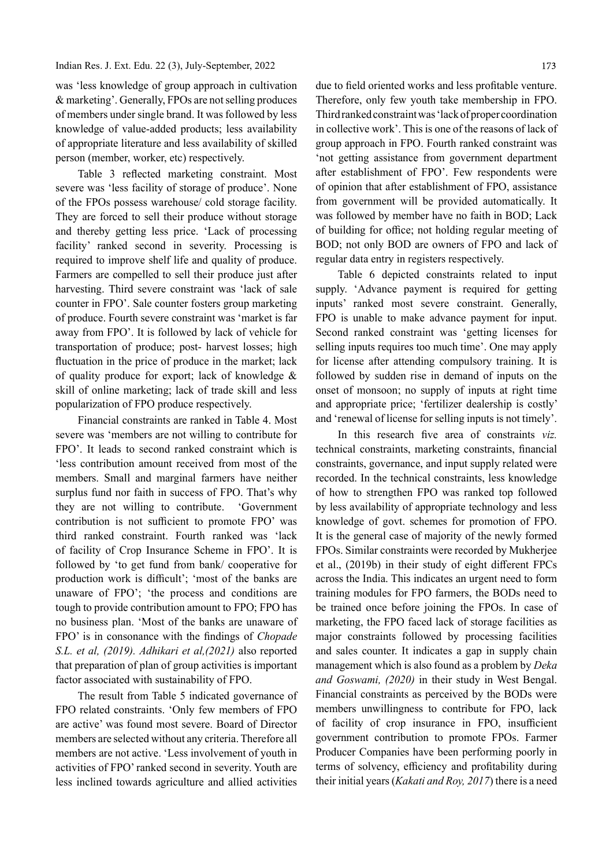#### Indian Res. J. Ext. Edu. 22 (3), July-September, 2022

was 'less knowledge of group approach in cultivation & marketing'. Generally, FPOs are not selling produces of members under single brand. It was followed by less knowledge of value-added products; less availability of appropriate literature and less availability of skilled person (member, worker, etc) respectively.

Table 3 reflected marketing constraint. Most severe was 'less facility of storage of produce'. None of the FPOs possess warehouse/ cold storage facility. They are forced to sell their produce without storage and thereby getting less price. 'Lack of processing facility' ranked second in severity. Processing is required to improve shelf life and quality of produce. Farmers are compelled to sell their produce just after harvesting. Third severe constraint was 'lack of sale counter in FPO'. Sale counter fosters group marketing of produce. Fourth severe constraint was 'market is far away from FPO'. It is followed by lack of vehicle for transportation of produce; post- harvest losses; high fluctuation in the price of produce in the market; lack of quality produce for export; lack of knowledge & skill of online marketing; lack of trade skill and less popularization of FPO produce respectively.

Financial constraints are ranked in Table 4. Most severe was 'members are not willing to contribute for FPO'. It leads to second ranked constraint which is 'less contribution amount received from most of the members. Small and marginal farmers have neither surplus fund nor faith in success of FPO. That's why they are not willing to contribute. 'Government contribution is not sufficient to promote FPO' was third ranked constraint. Fourth ranked was 'lack of facility of Crop Insurance Scheme in FPO'. It is followed by 'to get fund from bank/ cooperative for production work is difficult'; 'most of the banks are unaware of FPO'; 'the process and conditions are tough to provide contribution amount to FPO; FPO has no business plan. 'Most of the banks are unaware of FPO' is in consonance with the findings of *Chopade* S.L. et al, (2019). Adhikari et al,(2021) also reported that preparation of plan of group activities is important factor associated with sustainability of FPO.

The result from Table 5 indicated governance of FPO related constraints. 'Only few members of FPO are active' was found most severe. Board of Director members are selected without any criteria. Therefore all members are not active. 'Less involvement of youth in activities of FPO' ranked second in severity. Youth are less inclined towards agriculture and allied activities

due to field oriented works and less profitable venture. Therefore, only few youth take membership in FPO. Third ranked constraint was 'lack of proper coordination in collective work'. This is one of the reasons of lack of group approach in FPO. Fourth ranked constraint was 'not getting assistance from government department after establishment of FPO'. Few respondents were of opinion that after establishment of FPO, assistance from government will be provided automatically. It was followed by member have no faith in BOD; Lack of building for office; not holding regular meeting of BOD; not only BOD are owners of FPO and lack of regular data entry in registers respectively.

Table 6 depicted constraints related to input supply. 'Advance payment is required for getting inputs' ranked most severe constraint. Generally, FPO is unable to make advance payment for input. Second ranked constraint was 'getting licenses for selling inputs requires too much time'. One may apply for license after attending compulsory training. It is followed by sudden rise in demand of inputs on the onset of monsoon; no supply of inputs at right time and appropriate price; 'fertilizer dealership is costly' and 'renewal of license for selling inputs is not timely'.

In this research five area of constraints  $viz$ . technical constraints, marketing constraints, financial constraints, governance, and input supply related were recorded. In the technical constraints, less knowledge of how to strengthen FPO was ranked top followed by less availability of appropriate technology and less knowledge of govt. schemes for promotion of FPO. It is the general case of majority of the newly formed FPOs. Similar constraints were recorded by Mukherjee et al., (2019b) in their study of eight different FPCs across the India. This indicates an urgent need to form training modules for FPO farmers, the BODs need to be trained once before joining the FPOs. In case of marketing, the FPO faced lack of storage facilities as major constraints followed by processing facilities and sales counter. It indicates a gap in supply chain management which is also found as a problem by *Deka* and Goswami, (2020) in their study in West Bengal. Financial constraints as perceived by the BODs were members unwillingness to contribute for FPO, lack of facility of crop insurance in FPO, insufficient government contribution to promote FPOs. Farmer Producer Companies have been performing poorly in terms of solvency, efficiency and profitability during their initial years (Kakati and Roy, 2017) there is a need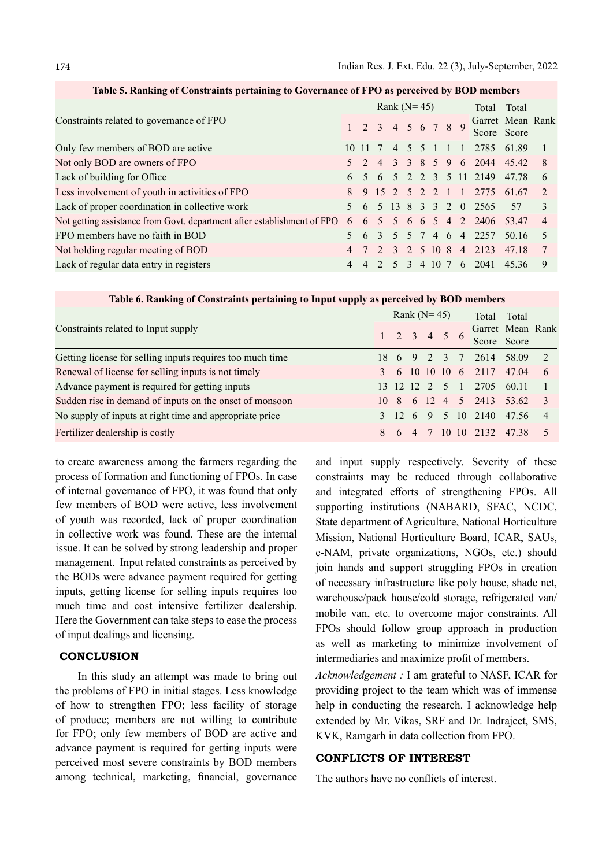|                                                                                                  |   |         |                | Rank $(N=45)$                       |                |  |  | Total Total |                             |                                 |                |
|--------------------------------------------------------------------------------------------------|---|---------|----------------|-------------------------------------|----------------|--|--|-------------|-----------------------------|---------------------------------|----------------|
| Constraints related to governance of FPO                                                         |   |         |                | $1 \t2 \t3 \t4 \t5 \t6 \t7 \t8 \t9$ |                |  |  |             |                             | Garret Mean Rank<br>Score Score |                |
| Only few members of BOD are active                                                               |   | 10 11 7 |                | $\overline{4}$                      | 5 <sup>5</sup> |  |  | 5 1 1 1     | 2785 61.89                  |                                 |                |
| Not only BOD are owners of FPO                                                                   |   | $5 \t2$ | $\overline{4}$ |                                     |                |  |  |             | 3 3 8 5 9 6 2044 45.42      |                                 | 8              |
| Lack of building for Office                                                                      | 6 |         |                |                                     |                |  |  |             | 5 6 5 2 2 3 5 11 2149       | 47.78                           | 6              |
| Less involvement of youth in activities of FPO                                                   | 8 |         |                |                                     |                |  |  |             | 9 15 2 5 2 2 1 1 2775 61.67 |                                 | $\mathcal{L}$  |
| Lack of proper coordination in collective work                                                   |   |         |                |                                     |                |  |  |             | 5 6 5 13 8 3 3 2 0 2565     | 57                              | 3              |
| Not getting assistance from Govt. department after establishment of FPO 6 6 5 5 6 6 6 5 4 2 2406 |   |         |                |                                     |                |  |  |             |                             | 53.47                           | $\overline{4}$ |
| FPO members have no faith in BOD                                                                 |   |         |                | 5                                   |                |  |  |             | 5 7 4 6 4 2257              | 50.16                           | -5             |
| Not holding regular meeting of BOD                                                               | 4 |         |                | $\overline{3}$                      |                |  |  |             | 2 5 10 8 4 2123             | 47.18                           |                |
| Lack of regular data entry in registers                                                          |   |         |                |                                     | $\mathcal{R}$  |  |  | 4 10 7 6    | 2041                        | 45.36                           | 9              |

Table 5. Ranking of Constraints pertaining to Governance of FPO as perceived by BOD members

| Table 6. Ranking of Constraints pertaining to Input supply as perceived by BOD members |   |  |  |               |                         |       |                            |             |                |  |  |  |  |  |
|----------------------------------------------------------------------------------------|---|--|--|---------------|-------------------------|-------|----------------------------|-------------|----------------|--|--|--|--|--|
|                                                                                        |   |  |  | Rank $(N=45)$ |                         | Total | Total                      |             |                |  |  |  |  |  |
| Constraints related to Input supply                                                    |   |  |  |               |                         |       | Garret Mean Rank           |             |                |  |  |  |  |  |
|                                                                                        |   |  |  |               | $1 \t2 \t3 \t4 \t5 \t6$ |       |                            | Score Score |                |  |  |  |  |  |
| Getting license for selling inputs requires too much time                              |   |  |  |               | 18 6 9 2 3 7            |       | 2614 58.09                 |             | $\overline{2}$ |  |  |  |  |  |
| Renewal of license for selling inputs is not timely                                    |   |  |  |               |                         |       | 3 6 10 10 10 6 2117 47.04  |             | - 6            |  |  |  |  |  |
| Advance payment is required for getting inputs                                         |   |  |  |               | 13 12 12 2 5 1          |       | 2705 60.11                 |             |                |  |  |  |  |  |
| Sudden rise in demand of inputs on the onset of monsoon                                |   |  |  |               |                         |       | 10 8 6 12 4 5 2413 53.62 3 |             |                |  |  |  |  |  |
| No supply of inputs at right time and appropriate price                                |   |  |  |               |                         |       | 3 12 6 9 5 10 2140 47.56   |             | $\overline{4}$ |  |  |  |  |  |
| Fertilizer dealership is costly                                                        | 8 |  |  |               |                         |       | 6 4 7 10 10 2132 47.38     |             | $\sim$ 5       |  |  |  |  |  |

to create awareness among the farmers regarding the process of formation and functioning of FPOs. In case of internal governance of FPO, it was found that only few members of BOD were active, less involvement of youth was recorded, lack of proper coordination in collective work was found. These are the internal issue. It can be solved by strong leadership and proper management. Input related constraints as perceived by the BODs were advance payment required for getting inputs, getting license for selling inputs requires too much time and cost intensive fertilizer dealership. Here the Government can take steps to ease the process of input dealings and licensing.

### **CONCLUSION**

In this study an attempt was made to bring out the problems of FPO in initial stages. Less knowledge of how to strengthen FPO; less facility of storage of produce; members are not willing to contribute for FPO; only few members of BOD are active and advance payment is required for getting inputs were perceived most severe constraints by BOD members among technical, marketing, financial, governance

and input supply respectively. Severity of these constraints may be reduced through collaborative and integrated efforts of strengthening FPOs. All supporting institutions (NABARD, SFAC, NCDC, State department of Agriculture, National Horticulture Mission, National Horticulture Board, ICAR, SAUs, e-NAM, private organizations, NGOs, etc.) should join hands and support struggling FPOs in creation of necessary infrastructure like poly house, shade net, warehouse/pack house/cold storage, refrigerated van/ mobile van, etc. to overcome major constraints. All FPOs should follow group approach in production as well as marketing to minimize involvement of intermediaries and maximize profit of members.

Acknowledgement : I am grateful to NASF, ICAR for providing project to the team which was of immense help in conducting the research. I acknowledge help extended by Mr. Vikas, SRF and Dr. Indrajeet, SMS, KVK, Ramgarh in data collection from FPO.

# CONFLICTS OF INTEREST

The authors have no conflicts of interest.